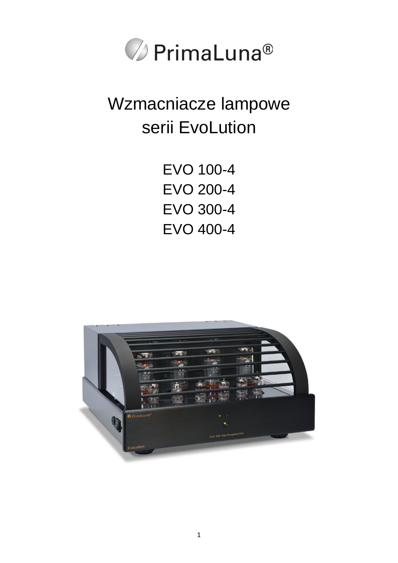

## Wzmacniacze lampowe serii EvoLution

EVO 100-4 EVO 200-4 EVO 300-4 EVO 400-4

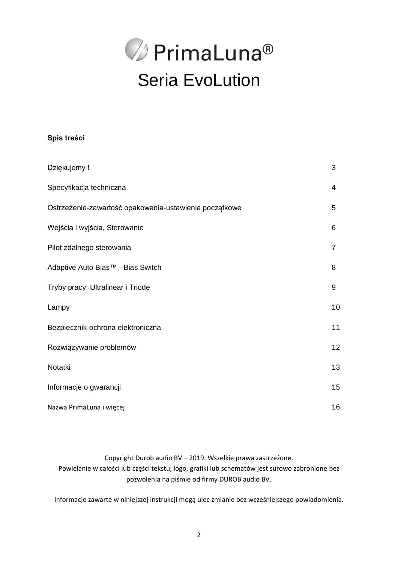

#### **Spis treści**

| Dziękujemy !                                           | 3              |
|--------------------------------------------------------|----------------|
| Specyfikacja techniczna                                | 4              |
| Ostrzeżenie-zawartość opakowania-ustawienia początkowe | 5              |
| Wejścia i wyjścia, Sterowanie                          | 6              |
| Pilot zdalnego sterowania                              | $\overline{7}$ |
| Adaptive Auto Bias™ - Bias Switch                      | 8              |
| Tryby pracy: Ultralinear i Triode                      | 9              |
| Lampy                                                  | 10             |
| Bezpiecznik-ochrona elektroniczna                      | 11             |
| Rozwiązywanie problemów                                | 12             |
| Notatki                                                | 13             |
| Informacje o gwarancji                                 | 15             |
| Nazwa PrimaLuna i więcej                               | 16             |

Copyright Durob audio BV – 2019. Wszelkie prawa zastrzeżone. Powielanie w całości lub części tekstu, logo, grafiki lub schematów jest surowo zabronione bez pozwolenia na piśmie od firmy DUROB audio BV.

Informacje zawarte w niniejszej instrukcji mogą ulec zmianie bez wcześniejszego powiadomienia.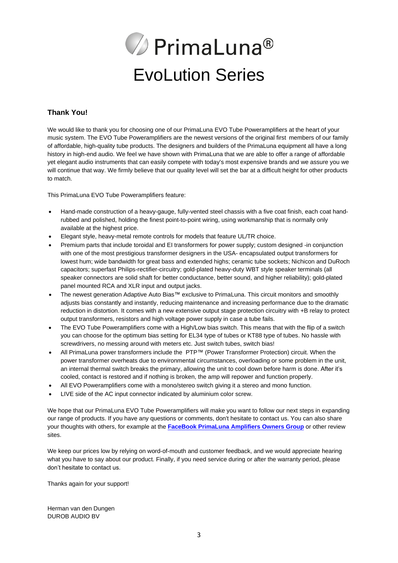# **⊘** PrimaLuna® EvoLution Series

#### **Thank You!**

We would like to thank you for choosing one of our PrimaLuna EVO Tube Poweramplifiers at the heart of your music system. The EVO Tube Poweramplifiers are the newest versions of the original first members of our family of affordable, high-quality tube products. The designers and builders of the PrimaLuna equipment all have a long history in high-end audio. We feel we have shown with PrimaLuna that we are able to offer a range of affordable yet elegant audio instruments that can easily compete with today's most expensive brands and we assure you we will continue that way. We firmly believe that our quality level will set the bar at a difficult height for other products to match.

This PrimaLuna EVO Tube Poweramplifiers feature:

- Hand-made construction of a heavy-gauge, fully-vented steel chassis with a five coat finish, each coat handrubbed and polished, holding the finest point-to-point wiring, using workmanship that is normally only available at the highest price.
- Elegant style, heavy-metal remote controls for models that feature UL/TR choice.
- Premium parts that include toroidal and EI transformers for power supply; custom designed -in conjunction with one of the most prestigious transformer designers in the USA- encapsulated output transformers for lowest hum; wide bandwidth for great bass and extended highs; ceramic tube sockets; Nichicon and DuRoch capacitors; superfast Philips-rectifier-circuitry; gold-plated heavy-duty WBT style speaker terminals (all speaker connectors are solid shaft for better conductance, better sound, and higher reliability); gold-plated panel mounted RCA and XLR input and output jacks.
- The newest generation Adaptive Auto Bias™ exclusive to PrimaLuna. This circuit monitors and smoothly adjusts bias constantly and instantly, reducing maintenance and increasing performance due to the dramatic reduction in distortion. It comes with a new extensive output stage protection circuitry with +B relay to protect output transformers, resistors and high voltage power supply in case a tube fails.
- The EVO Tube Poweramplifiers come with a High/Low bias switch. This means that with the flip of a switch you can choose for the optimum bias setting for EL34 type of tubes or KT88 type of tubes. No hassle with screwdrivers, no messing around with meters etc. Just switch tubes, switch bias!
- All PrimaLuna power transformers include the PTP™ (Power Transformer Protection) circuit. When the power transformer overheats due to environmental circumstances, overloading or some problem in the unit, an internal thermal switch breaks the primary, allowing the unit to cool down before harm is done. After it's cooled, contact is restored and if nothing is broken, the amp will repower and function properly.
- All EVO Poweramplifiers come with a mono/stereo switch giving it a stereo and mono function.
- LIVE side of the AC input connector indicated by aluminium color screw.

We hope that our PrimaLuna EVO Tube Poweramplifiers will make you want to follow our next steps in expanding our range of products. If you have any questions or comments, don't hesitate to contact us. You can also share your thoughts with others, for example at the **[FaceBook PrimaLuna Amplifiers Owners Group](https://www.facebook.com/groups/509067122811946/?ref=group_header)** or other review sites.

We keep our prices low by relying on word-of-mouth and customer feedback, and we would appreciate hearing what you have to say about our product. Finally, if you need service during or after the warranty period, please don't hesitate to contact us.

Thanks again for your support!

Herman van den Dungen DUROB AUDIO BV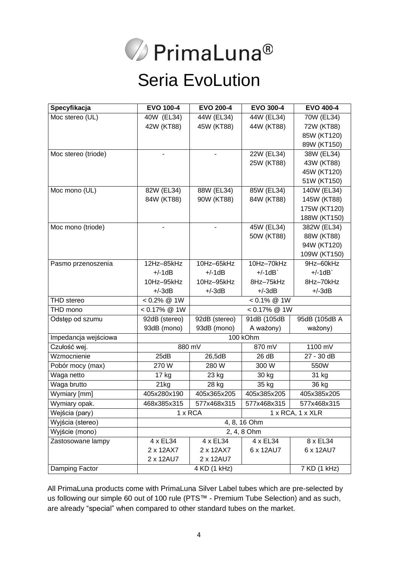

### Seria EvoLution

| Specyfikacja         | <b>EVO 100-4</b>                                | <b>EVO 200-4</b>   | <b>EVO 300-4</b> | <b>EVO 400-4</b> |
|----------------------|-------------------------------------------------|--------------------|------------------|------------------|
| Moc stereo (UL)      | 40W (EL34)                                      | 44W (EL34)         | 44W (EL34)       | 70W (EL34)       |
|                      | 42W (KT88)                                      | 45W (KT88)         | 44W (KT88)       | 72W (KT88)       |
|                      |                                                 |                    |                  | 85W (KT120)      |
|                      |                                                 |                    |                  | 89W (KT150)      |
| Moc stereo (triode)  |                                                 |                    | 22W (EL34)       | 38W (EL34)       |
|                      |                                                 |                    | 25W (KT88)       | 43W (KT88)       |
|                      |                                                 |                    |                  | 45W (KT120)      |
|                      |                                                 |                    |                  | 51W (KT150)      |
| Moc mono (UL)        | 82W (EL34)                                      | 88W (EL34)         | 85W (EL34)       | 140W (EL34)      |
|                      | 84W (KT88)                                      | 90W (KT88)         | 84W (KT88)       | 145W (KT88)      |
|                      |                                                 |                    |                  | 175W (KT120)     |
|                      |                                                 |                    |                  | 188W (KT150)     |
| Moc mono (triode)    |                                                 |                    | 45W (EL34)       | 382W (EL34)      |
|                      |                                                 |                    | 50W (KT88)       | 88W (KT88)       |
|                      |                                                 |                    |                  | 94W (KT120)      |
|                      |                                                 |                    |                  | 109W (KT150)     |
| Pasmo przenoszenia   | 12Hz-85kHz                                      | 10Hz-65kHz         | 10Hz-70kHz       | 9Hz-60kHz        |
|                      | $+/-1dB$                                        | $+/-1dB$           | $+/1dB$          | $+/-1dB$         |
|                      | 10Hz-95kHz                                      | 10Hz-95kHz         | 8Hz-75kHz        | 8Hz-70kHz        |
|                      | $+/-3dB$                                        | $+/-3dB$           | $+/-3dB$         | $+/-3dB$         |
| <b>THD</b> stereo    | $0.2\%$ @ 1W                                    | $< 0.1\% \ @ \ 1W$ |                  |                  |
| THD mono             | $< 0.17\% \ @ \ 1W$<br>$< 0.17\% \text{ @ } 1W$ |                    |                  |                  |
| Odstęp od szumu      | 92dB (stereo)                                   | 92dB (stereo)      | 91dB (105dB      | 95dB (105dB A    |
|                      | 93dB (mono)                                     | 93dB (mono)        | A ważony)        | ważony)          |
| Impedancja wejściowa | 100 kOhm                                        |                    |                  |                  |
| Czułość wej.         | 880 mV                                          |                    | 870 mV           | 1100 mV          |
| Wzmocnienie          | 25dB                                            | 26,5dB             | 26 dB            | 27 - 30 dB       |
| Pobór mocy (max)     | 270W                                            | 280 W              | 300 W            | 550W             |
| Waga netto           | 17 kg                                           | 23 kg              | 30 kg            | 31 kg            |
| Waga brutto          | 21kg                                            | 28 kg              | 35 kg            | 36 kg            |
| Wymiary [mm]         | 405x280x190                                     | 405x365x205        | 405x385x205      | 405x385x205      |
| Wymiary opak.        | 468x385x315                                     | 577x468x315        | 577x468x315      | 577x468x315      |
| Wejścia (pary)       | 1 x RCA<br>1 x RCA, 1 x XLR                     |                    |                  |                  |
| Wyjścia (stereo)     | 4, 8, 16 Ohm                                    |                    |                  |                  |
| Wyjście (mono)       | 2, 4, 8 Ohm                                     |                    |                  |                  |
| Zastosowane lampy    | 4 x EL34                                        | 4 x EL34           | 4 x EL34         | 8 x EL34         |
|                      | 2 x 12AX7                                       | 2 x 12AX7          | 6 x 12AU7        | 6 x 12AU7        |
|                      | 2 x 12AU7                                       | 2 x 12AU7          |                  |                  |
| Damping Factor       | 4 KD (1 kHz)<br>$\overline{7}$ KD (1 kHz)       |                    |                  |                  |

All PrimaLuna products come with PrimaLuna Silver Label tubes which are pre-selected by us following our simple 60 out of 100 rule (PTS™ - Premium Tube Selection) and as such, are already "special" when compared to other standard tubes on the market.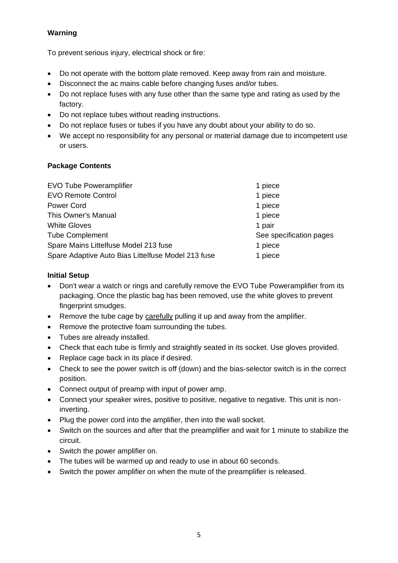#### **Warning**

To prevent serious injury, electrical shock or fire:

- Do not operate with the bottom plate removed. Keep away from rain and moisture.
- Disconnect the ac mains cable before changing fuses and/or tubes.
- Do not replace fuses with any fuse other than the same type and rating as used by the factory.
- Do not replace tubes without reading instructions.
- Do not replace fuses or tubes if you have any doubt about your ability to do so.
- We accept no responsibility for any personal or material damage due to incompetent use or users.

#### **Package Contents**

| <b>EVO Tube Poweramplifier</b>                     | 1 piece                 |
|----------------------------------------------------|-------------------------|
| <b>EVO Remote Control</b>                          | 1 piece                 |
| <b>Power Cord</b>                                  | 1 piece                 |
| This Owner's Manual                                | 1 piece                 |
| <b>White Gloves</b>                                | 1 pair                  |
| <b>Tube Complement</b>                             | See specification pages |
| Spare Mains Littelfuse Model 213 fuse              | 1 piece                 |
| Spare Adaptive Auto Bias Littelfuse Model 213 fuse | 1 piece                 |

#### **Initial Setup**

- Don't wear a watch or rings and carefully remove the EVO Tube Poweramplifier from its packaging. Once the plastic bag has been removed, use the white gloves to prevent fingerprint smudges.
- Remove the tube cage by carefully pulling it up and away from the amplifier.
- Remove the protective foam surrounding the tubes.
- Tubes are already installed.
- Check that each tube is firmly and straightly seated in its socket. Use gloves provided.
- Replace cage back in its place if desired.
- Check to see the power switch is off (down) and the bias-selector switch is in the correct position.
- Connect output of preamp with input of power amp.
- Connect your speaker wires, positive to positive, negative to negative. This unit is noninverting.
- Plug the power cord into the amplifier, then into the wall socket.
- Switch on the sources and after that the preamplifier and wait for 1 minute to stabilize the circuit.
- Switch the power amplifier on.
- The tubes will be warmed up and ready to use in about 60 seconds.
- Switch the power amplifier on when the mute of the preamplifier is released.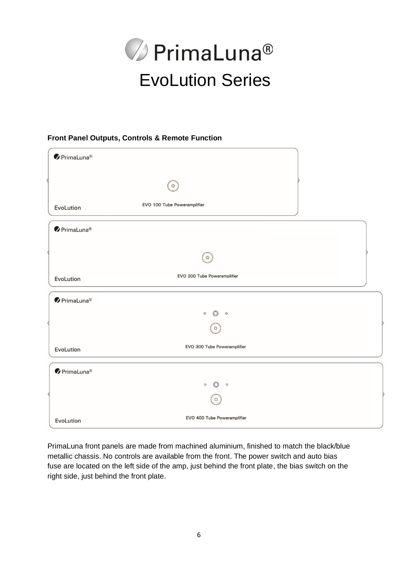

#### **Front Panel Outputs, Controls & Remote Function**

| $\bullet$ PrimaLuna® |                                      |  |
|----------------------|--------------------------------------|--|
|                      | $\circ$                              |  |
| EvoLution            | EVO 100 Tube Poweramplifier          |  |
| $\bullet$ PrimaLuna® |                                      |  |
|                      | $\circ$                              |  |
| EvoLution            | EVO 200 Tube Poweramplifier          |  |
| $\bullet$ PrimaLuna® |                                      |  |
|                      | $\circ$<br>$\circledcirc$<br>$\circ$ |  |
|                      | $\circ$                              |  |
| EvoLution            | EVO 300 Tube Poweramplifier          |  |
| $\bullet$ PrimaLuna® |                                      |  |
|                      | $\circ$<br>$\circledcirc$<br>$\circ$ |  |
|                      | $\circ$                              |  |
| EvoLution            | EVO 400 Tube Poweramplifier          |  |

PrimaLuna front panels are made from machined aluminium, finished to match the black/blue metallic chassis. No controls are available from the front. The power switch and auto bias fuse are located on the left side of the amp, just behind the front plate, the bias switch on the right side, just behind the front plate.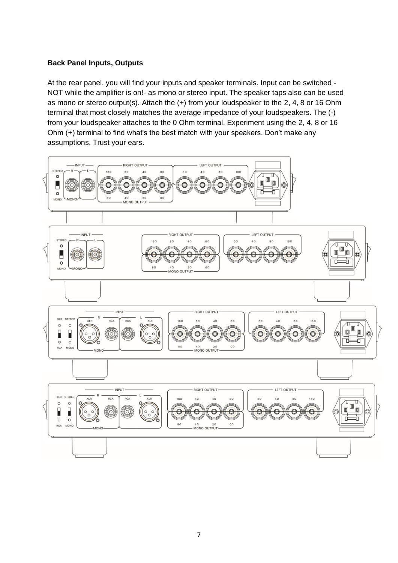#### **Back Panel Inputs, Outputs**

At the rear panel, you will find your inputs and speaker terminals. Input can be switched - NOT while the amplifier is on!- as mono or stereo input. The speaker taps also can be used as mono or stereo output(s). Attach the (+) from your loudspeaker to the 2, 4, 8 or 16 Ohm terminal that most closely matches the average impedance of your loudspeakers. The (-) from your loudspeaker attaches to the 0 Ohm terminal. Experiment using the 2, 4, 8 or 16 Ohm (+) terminal to find what's the best match with your speakers. Don't make any assumptions. Trust your ears.

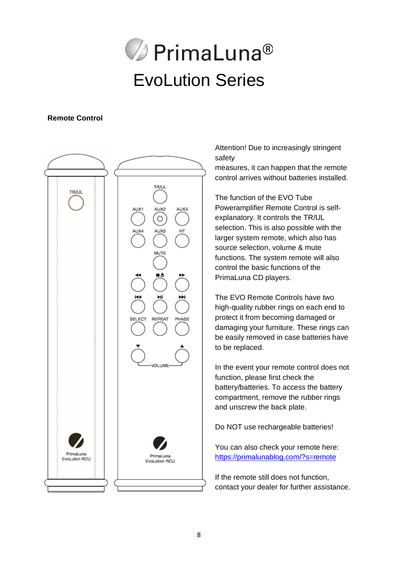# **⊘** PrimaLuna® EvoLution Series

#### **Remote Control**



Attention! Due to increasingly stringent safety

measures, it can happen that the remote control arrives without batteries installed.

The function of the EVO Tube Poweramplifier Remote Control is selfexplanatory. It controls the TR/UL selection. This is also possible with the larger system remote, which also has source selection, volume & mute functions. The system remote will also control the basic functions of the PrimaLuna CD players.

The EVO Remote Controls have two high-quality rubber rings on each end to protect it from becoming damaged or damaging your furniture. These rings can be easily removed in case batteries have to be replaced.

In the event your remote control does not function, please first check the battery/batteries. To access the battery compartment, remove the rubber rings and unscrew the back plate.

Do NOT use rechargeable batteries!

You can also check your remote here: <https://primalunablog.com/?s=remote>

If the remote still does not function, contact your dealer for further assistance.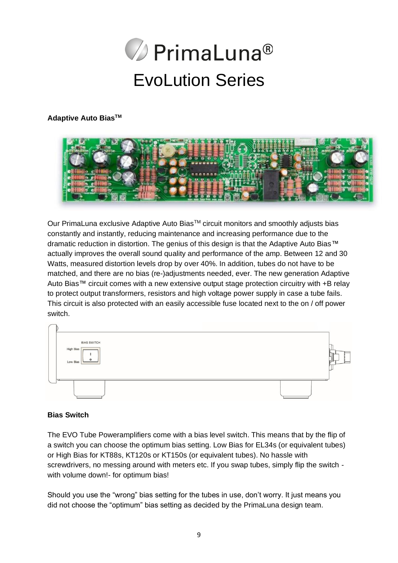

#### **Adaptive Auto BiasTM**



Our PrimaLuna exclusive Adaptive Auto Bias™ circuit monitors and smoothly adjusts bias constantly and instantly, reducing maintenance and increasing performance due to the dramatic reduction in distortion. The genius of this design is that the Adaptive Auto Bias™ actually improves the overall sound quality and performance of the amp. Between 12 and 30 Watts, measured distortion levels drop by over 40%. In addition, tubes do not have to be matched, and there are no bias (re-)adjustments needed, ever. The new generation Adaptive Auto Bias™ circuit comes with a new extensive output stage protection circuitry with +B relay to protect output transformers, resistors and high voltage power supply in case a tube fails. This circuit is also protected with an easily accessible fuse located next to the on / off power switch.

| <b>BIAS SWITCH</b><br>High Bias<br>$\circ$<br>Low Bias | т |
|--------------------------------------------------------|---|
| ᇁ                                                      |   |

#### **Bias Switch**

The EVO Tube Poweramplifiers come with a bias level switch. This means that by the flip of a switch you can choose the optimum bias setting. Low Bias for EL34s (or equivalent tubes) or High Bias for KT88s, KT120s or KT150s (or equivalent tubes). No hassle with screwdrivers, no messing around with meters etc. If you swap tubes, simply flip the switch with volume down!- for optimum bias!

Should you use the "wrong" bias setting for the tubes in use, don't worry. It just means you did not choose the "optimum" bias setting as decided by the PrimaLuna design team.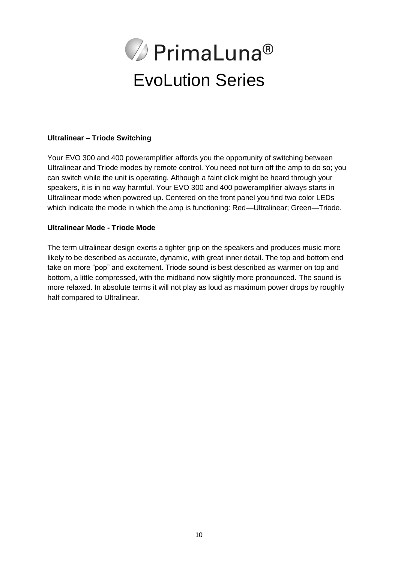

#### **Ultralinear – Triode Switching**

Your EVO 300 and 400 poweramplifier affords you the opportunity of switching between Ultralinear and Triode modes by remote control. You need not turn off the amp to do so; you can switch while the unit is operating. Although a faint click might be heard through your speakers, it is in no way harmful. Your EVO 300 and 400 poweramplifier always starts in Ultralinear mode when powered up. Centered on the front panel you find two color LEDs which indicate the mode in which the amp is functioning: Red—Ultralinear; Green—Triode.

#### **Ultralinear Mode - Triode Mode**

The term ultralinear design exerts a tighter grip on the speakers and produces music more likely to be described as accurate, dynamic, with great inner detail. The top and bottom end take on more "pop" and excitement. Triode sound is best described as warmer on top and bottom, a little compressed, with the midband now slightly more pronounced. The sound is more relaxed. In absolute terms it will not play as loud as maximum power drops by roughly half compared to Ultralinear.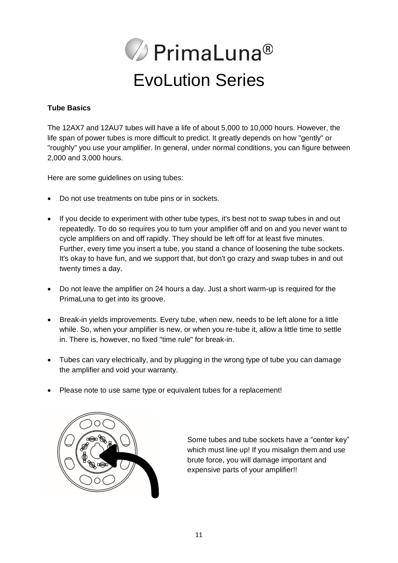

#### **Tube Basics**

The 12AX7 and 12AU7 tubes will have a life of about 5,000 to 10,000 hours. However, the life span of power tubes is more difficult to predict. It greatly depends on how "gently" or "roughly" you use your amplifier. In general, under normal conditions, you can figure between 2,000 and 3,000 hours.

Here are some guidelines on using tubes:

- Do not use treatments on tube pins or in sockets.
- If you decide to experiment with other tube types, it's best not to swap tubes in and out repeatedly. To do so requires you to turn your amplifier off and on and you never want to cycle amplifiers on and off rapidly. They should be left off for at least five minutes. Further, every time you insert a tube, you stand a chance of loosening the tube sockets. It's okay to have fun, and we support that, but don't go crazy and swap tubes in and out twenty times a day.
- Do not leave the amplifier on 24 hours a day. Just a short warm-up is required for the PrimaLuna to get into its groove.
- Break-in yields improvements. Every tube, when new, needs to be left alone for a little while. So, when your amplifier is new, or when you re-tube it, allow a little time to settle in. There is, however, no fixed "time rule" for break-in.
- Tubes can vary electrically, and by plugging in the wrong type of tube you can damage the amplifier and void your warranty.
- Please note to use same type or equivalent tubes for a replacement!



Some tubes and tube sockets have a "center key" which must line up! If you misalign them and use brute force, you will damage important and expensive parts of your amplifier!!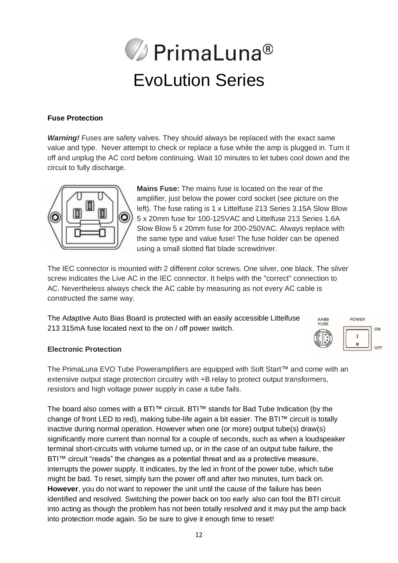

#### **Fuse Protection**

*Warning!* Fuses are safety valves. They should always be replaced with the exact same value and type. Never attempt to check or replace a fuse while the amp is plugged in. Turn it off and unplug the AC cord before continuing. Wait 10 minutes to let tubes cool down and the circuit to fully discharge.



**Mains Fuse:** The mains fuse is located on the rear of the amplifier, just below the power cord socket (see picture on the left). The fuse rating is 1 x Littelfuse 213 Series 3.15A Slow Blow 5 x 20mm fuse for 100-125VAC and Littelfuse 213 Series 1.6A Slow Blow 5 x 20mm fuse for 200-250VAC. Always replace with the same type and value fuse! The fuse holder can be opened using a small slotted flat blade screwdriver.

The IEC connector is mounted with 2 different color screws. One silver, one black. The silver screw indicates the Live AC in the IEC connector. It helps with the "correct" connection to AC. Nevertheless always check the AC cable by measuring as not every AC cable is constructed the same way.

The Adaptive Auto Bias Board is protected with an easily accessible Littelfuse 213 315mA fuse located next to the on / off power switch.



#### **Electronic Protection**

The PrimaLuna EVO Tube Poweramplifiers are equipped with Soft Start™ and come with an extensive output stage protection circuitry with +B relay to protect output transformers, resistors and high voltage power supply in case a tube fails.

The board also comes with a BTI™ circuit. BTI™ stands for Bad Tube Indication (by the change of front LED to red), making tube-life again a bit easier. The BTI™ circuit is totally inactive during normal operation. However when one (or more) output tube(s) draw(s) significantly more current than normal for a couple of seconds, such as when a loudspeaker terminal short-circuits with volume turned up, or in the case of an output tube failure, the BTI™ circuit "reads" the changes as a potential threat and as a protective measure, interrupts the power supply. It indicates, by the led in front of the power tube, which tube might be bad. To reset, simply turn the power off and after two minutes, turn back on. **However**, you do not want to repower the unit until the cause of the failure has been identified and resolved. Switching the power back on too early also can fool the BTI circuit into acting as though the problem has not been totally resolved and it may put the amp back into protection mode again. So be sure to give it enough time to reset!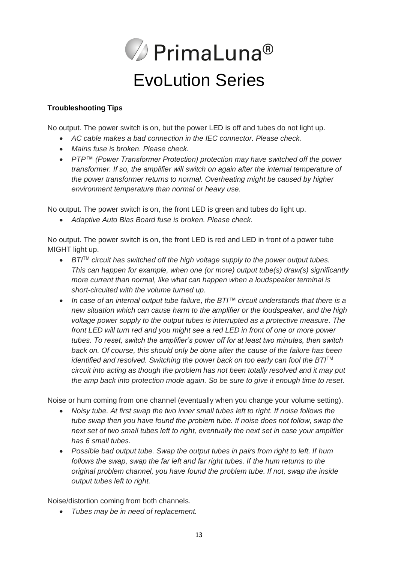

#### **Troubleshooting Tips**

No output. The power switch is on, but the power LED is off and tubes do not light up.

- *AC cable makes a bad connection in the IEC connector. Please check.*
- *Mains fuse is broken. Please check.*
- *PTP™ (Power Transformer Protection) protection may have switched off the power transformer. If so, the amplifier will switch on again after the internal temperature of the power transformer returns to normal. Overheating might be caused by higher environment temperature than normal or heavy use.*

No output. The power switch is on, the front LED is green and tubes do light up.

• *Adaptive Auto Bias Board fuse is broken. Please check.*

No output. The power switch is on, the front LED is red and LED in front of a power tube MIGHT light up.

- *BTI*TM *circuit has switched off the high voltage supply to the power output tubes. This can happen for example, when one (or more) output tube(s) draw(s) significantly more current than normal, like what can happen when a loudspeaker terminal is short-circuited with the volume turned up.*
- *In case of an internal output tube failure, the BTI™ circuit understands that there is a new situation which can cause harm to the amplifier or the loudspeaker, and the high voltage power supply to the output tubes is interrupted as a protective measure. The front LED will turn red and you might see a red LED in front of one or more power tubes. To reset, switch the amplifier's power off for at least two minutes, then switch back on. Of course, this should only be done after the cause of the failure has been identified and resolved. Switching the power back on too early can fool the BTI*TM *circuit into acting as though the problem has not been totally resolved and it may put the amp back into protection mode again. So be sure to give it enough time to reset.*

Noise or hum coming from one channel (eventually when you change your volume setting).

- *Noisy tube. At first swap the two inner small tubes left to right. If noise follows the tube swap then you have found the problem tube. If noise does not follow, swap the next set of two small tubes left to right, eventually the next set in case your amplifier has 6 small tubes.*
- *Possible bad output tube. Swap the output tubes in pairs from right to left. If hum follows the swap, swap the far left and far right tubes. If the hum returns to the original problem channel, you have found the problem tube. If not, swap the inside output tubes left to right.*

Noise/distortion coming from both channels.

• *Tubes may be in need of replacement.*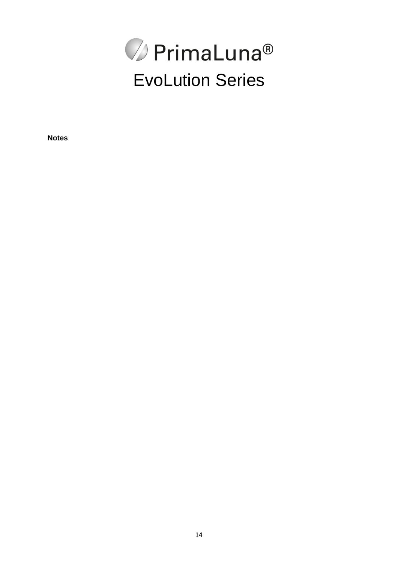

**Notes**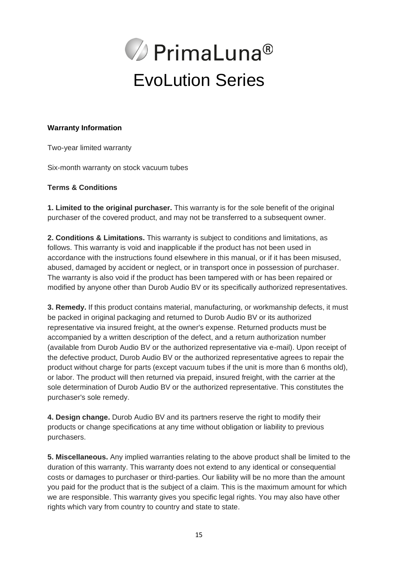

#### **Warranty Information**

Two-year limited warranty

Six-month warranty on stock vacuum tubes

#### **Terms & Conditions**

**1. Limited to the original purchaser.** This warranty is for the sole benefit of the original purchaser of the covered product, and may not be transferred to a subsequent owner.

**2. Conditions & Limitations.** This warranty is subject to conditions and limitations, as follows. This warranty is void and inapplicable if the product has not been used in accordance with the instructions found elsewhere in this manual, or if it has been misused, abused, damaged by accident or neglect, or in transport once in possession of purchaser. The warranty is also void if the product has been tampered with or has been repaired or modified by anyone other than Durob Audio BV or its specifically authorized representatives.

**3. Remedy.** If this product contains material, manufacturing, or workmanship defects, it must be packed in original packaging and returned to Durob Audio BV or its authorized representative via insured freight, at the owner's expense. Returned products must be accompanied by a written description of the defect, and a return authorization number (available from Durob Audio BV or the authorized representative via e-mail). Upon receipt of the defective product, Durob Audio BV or the authorized representative agrees to repair the product without charge for parts (except vacuum tubes if the unit is more than 6 months old), or labor. The product will then returned via prepaid, insured freight, with the carrier at the sole determination of Durob Audio BV or the authorized representative. This constitutes the purchaser's sole remedy.

**4. Design change.** Durob Audio BV and its partners reserve the right to modify their products or change specifications at any time without obligation or liability to previous purchasers.

**5. Miscellaneous.** Any implied warranties relating to the above product shall be limited to the duration of this warranty. This warranty does not extend to any identical or consequential costs or damages to purchaser or third-parties. Our liability will be no more than the amount you paid for the product that is the subject of a claim. This is the maximum amount for which we are responsible. This warranty gives you specific legal rights. You may also have other rights which vary from country to country and state to state.